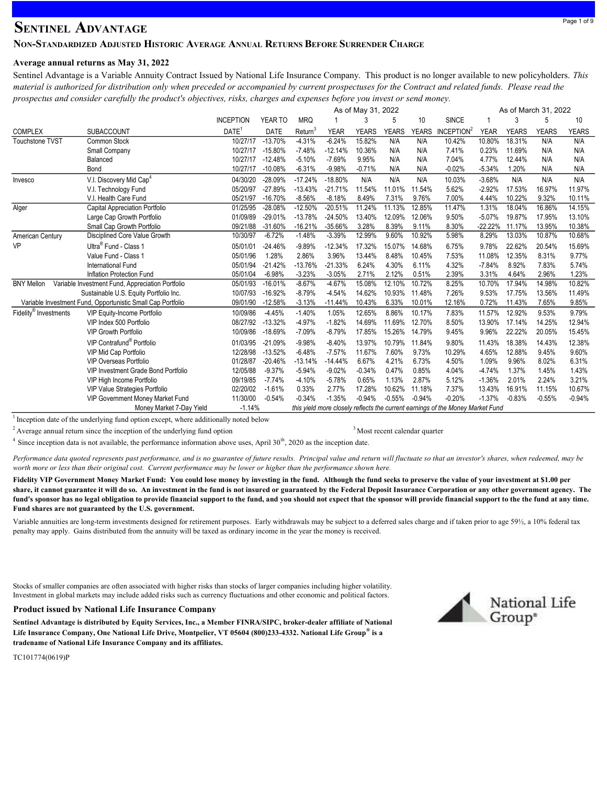# **SENTINEL ADVANTAGE**

## NON-STANDARDIZED ADJUSTED HISTORIC AVERAGE ANNUAL RETURNS BEFORE SURRENDER CHARGE

### Average annual returns as May 31, 2022

Sentinel Advantage is a Variable Annuity Contract Issued by National Life Insurance Company. This product is no longer available to new policyholders. This material is authorized for distribution only when preceded or accompanied by current prospectuses for the Contract and related funds. Please read the prospectus and consider carefully the product's objectives, risks, charges and expenses before you invest or send money.

|                                   |                                                             | As of May 31, 2022<br>As of March 31, 2022 |             |            |             |              |              |              |                                                                                |             |              |              |              |
|-----------------------------------|-------------------------------------------------------------|--------------------------------------------|-------------|------------|-------------|--------------|--------------|--------------|--------------------------------------------------------------------------------|-------------|--------------|--------------|--------------|
|                                   |                                                             | <b>INCEPTION</b>                           | YEAR TO     | <b>MRQ</b> |             | 3            | 5            | 10           | <b>SINCE</b>                                                                   |             | 3            | 5            | 10           |
| <b>COMPLEX</b>                    | <b>SUBACCOUNT</b>                                           | DATE <sup>®</sup>                          | <b>DATE</b> | Return     | <b>YEAR</b> | <b>YEARS</b> | <b>YEARS</b> | <b>YEARS</b> | INCEPTION <sup>2</sup>                                                         | <b>YEAR</b> | <b>YEARS</b> | <b>YEARS</b> | <b>YEARS</b> |
| Touchstone TVST                   | Common Stock                                                | 10/27/17                                   | $-13.70%$   | $-4.31%$   | $-6.24%$    | 15.82%       | N/A          | N/A          | 10.42%                                                                         | 10.80%      | 18.31%       | N/A          | N/A          |
|                                   | Small Company                                               | 10/27/17                                   | $-15.80%$   | $-7.48%$   | $-12.14%$   | 10.36%       | N/A          | N/A          | 7.41%                                                                          | 0.23%       | 11.69%       | N/A          | N/A          |
|                                   | Balanced                                                    | 10/27/17                                   | $-12.48%$   | $-5.10%$   | $-7.69%$    | 9.95%        | N/A          | N/A          | 7.04%                                                                          | 4.77%       | 12.44%       | N/A          | N/A          |
|                                   | Bond                                                        | 10/27/17                                   | $-10.08%$   | $-6.31%$   | $-9.98%$    | $-0.71%$     | N/A          | N/A          | $-0.02%$                                                                       | $-5.34%$    | 1.20%        | N/A          | N/A          |
| Invesco                           | V.I. Discovery Mid Cap <sup>4</sup>                         | 04/30/20                                   | $-28.09%$   | $-17.24%$  | $-18.80%$   | N/A          | N/A          | N/A          | 10.03%                                                                         | $-3.68%$    | N/A          | N/A          | N/A          |
|                                   | V.I. Technology Fund                                        | 05/20/97                                   | $-27.89%$   | $-13.43%$  | $-21.71%$   | 11.54%       | 11.01%       | 11.54%       | 5.62%                                                                          | $-2.92%$    | 17.53%       | 16.97%       | 11.97%       |
|                                   | V.I. Health Care Fund                                       | 05/21/97                                   | $-16.70%$   | $-8.56%$   | $-8.18%$    | 8.49%        | 7.31%        | 9.76%        | 7.00%                                                                          | 4.44%       | 10.22%       | 9.32%        | 10.11%       |
| Alger                             | Capital Appreciation Portfolio                              | 01/25/95                                   | $-28.08%$   | $-12.50%$  | $-20.51%$   | 11.24%       | 11.13%       | 12.85%       | 11.47%                                                                         | 1.31%       | 18.04%       | 16.86%       | 14.15%       |
|                                   | Large Cap Growth Portfolio                                  | 01/09/89                                   | $-29.01%$   | $-13.78%$  | $-24.50%$   | 13.40%       | 12.09%       | 12.06%       | 9.50%                                                                          | $-5.07%$    | 19.87%       | 17.95%       | 13.10%       |
|                                   | Small Cap Growth Portfolio                                  | 09/21/88                                   | $-31.60%$   | $-16.21%$  | $-35.66%$   | 3.28%        | 8.39%        | 9.11%        | 8.30%                                                                          | $-22.22%$   | 11.17%       | 13.95%       | 10.38%       |
| American Century                  | Disciplined Core Value Growth                               | 10/30/97                                   | $-6.72%$    | $-1.48%$   | $-3.39%$    | 12.99%       | 9.60%        | 10.92%       | 5.98%                                                                          | 8.29%       | 13.03%       | 10.87%       | 10.68%       |
| VP                                | Ultra <sup>®</sup> Fund - Class 1                           | 05/01/01                                   | $-24.46%$   | $-9.89%$   | $-12.34%$   | 17.32%       | 15.07%       | 14.68%       | 6.75%                                                                          | 9.78%       | 22.62%       | 20.54%       | 15.69%       |
|                                   | Value Fund - Class 1                                        | 05/01/96                                   | 1.28%       | 2.86%      | 3.96%       | 13.44%       | 8.48%        | 10.45%       | 7.53%                                                                          | 11.08%      | 12.35%       | 8.31%        | 9.77%        |
|                                   | International Fund                                          | 05/01/94                                   | $-21.42%$   | $-13.76%$  | $-21.33%$   | 6.24%        | 4.30%        | 6.11%        | 4.32%                                                                          | $-7.84%$    | 8.92%        | 7.83%        | 5.74%        |
|                                   | Inflation Protection Fund                                   | 05/01/04                                   | $-6.98%$    | $-3.23%$   | $-3.05%$    | 2.71%        | 2.12%        | 0.51%        | 2.39%                                                                          | 3.31%       | 4.64%        | 2.96%        | 1.23%        |
| <b>BNY Mellon</b>                 | Variable Investment Fund, Appreciation Portfolio            | 05/01/93                                   | $-16.01%$   | $-8.67%$   | $-4.67%$    | 15.08%       | 12.10%       | 10.72%       | 8.25%                                                                          | 10.70%      | 17.94%       | 14.98%       | 10.82%       |
|                                   | Sustainable U.S. Equity Portfolio Inc.                      | 10/07/93                                   | $-16.92%$   | $-8.79%$   | $-4.54%$    | 14.62%       | 10.93%       | 11.48%       | 7.26%                                                                          | 9.53%       | 17.75%       | 13.56%       | 11.49%       |
|                                   | Variable Investment Fund, Opportunistic Small Cap Portfolio | 09/01/90                                   | $-12.58%$   | $-3.13%$   | $-11.44%$   | 10.43%       | 6.33%        | 10.01%       | 12.16%                                                                         | 0.72%       | 11.43%       | 7.65%        | 9.85%        |
| Fidelity <sup>®</sup> Investments | <b>VIP Equity-Income Portfolio</b>                          | 10/09/86                                   | $-4.45%$    | $-1.40%$   | 1.05%       | 12.65%       | 8.86%        | 10.17%       | 7.83%                                                                          | 11.57%      | 12.92%       | 9.53%        | 9.79%        |
|                                   | VIP Index 500 Portfolio                                     | 08/27/92                                   | $-13.32%$   | $-4.97%$   | $-1.82%$    | 14.69%       | 11.69%       | 12.70%       | 8.50%                                                                          | 13.90%      | 17.14%       | 14.25%       | 12.94%       |
|                                   | <b>VIP Growth Portfolio</b>                                 | 10/09/86                                   | $-18.69%$   | $-7.09%$   | $-8.79%$    | 17.85%       | 15.26%       | 14.79%       | 9.45%                                                                          | 9.96%       | 22.22%       | 20.05%       | 15.45%       |
|                                   | VIP Contrafund <sup>®</sup> Portfolio                       | 01/03/95                                   | $-21.09%$   | $-9.98%$   | $-8.40%$    | 13.97%       | 10.79%       | 11.84%       | 9.80%                                                                          | 11.43%      | 18.38%       | 14.43%       | 12.38%       |
|                                   | VIP Mid Cap Portfolio                                       | 12/28/98                                   | $-13.52%$   | $-6.48%$   | $-7.57%$    | 11.67%       | 7.60%        | 9.73%        | 10.29%                                                                         | 4.65%       | 12.88%       | 9.45%        | 9.60%        |
|                                   | <b>VIP Overseas Portfolio</b>                               | 01/28/87                                   | $-20.46%$   | $-13.14%$  | $-14.44%$   | 6.67%        | 4.21%        | 6.73%        | 4.50%                                                                          | 1.09%       | 9.96%        | 8.02%        | 6.31%        |
|                                   | VIP Investment Grade Bond Portfolio                         | 12/05/88                                   | $-9.37%$    | $-5.94%$   | $-9.02%$    | $-0.34%$     | 0.47%        | 0.85%        | 4.04%                                                                          | $-4.74%$    | 1.37%        | 1.45%        | 1.43%        |
|                                   | VIP High Income Portfolio                                   | 09/19/85                                   | $-7.74%$    | $-4.10%$   | $-5.78%$    | 0.65%        | 1.13%        | 2.87%        | 5.12%                                                                          | $-1.36%$    | 2.01%        | 2.24%        | 3.21%        |
|                                   | VIP Value Strategies Portfolio                              | 02/20/02                                   | $-1.61%$    | 0.33%      | 2.77%       | 17.28%       | 10.62%       | 11.18%       | 7.37%                                                                          | 13.43%      | 16.91%       | 11.15%       | 10.67%       |
|                                   | VIP Government Money Market Fund                            | 11/30/00                                   | $-0.54%$    | $-0.34%$   | $-1.35%$    | $-0.94%$     | $-0.55%$     | $-0.94%$     | $-0.20%$                                                                       | $-1.37%$    | $-0.83%$     | $-0.55%$     | $-0.94%$     |
|                                   | Money Market 7-Day Yield                                    | $-1.14%$                                   |             |            |             |              |              |              | this yield more closely reflects the current earnings of the Money Market Fund |             |              |              |              |

 $1$  Inception date of the underlying fund option except, where additionally noted below

 $2$  Average annual return since the inception of the underlying fund option  $3$ Most recent calendar quarter

 $4$  Since inception data is not available, the performance information above uses, April 30<sup>th</sup>, 2020 as the inception date.

Performance data quoted represents past performance, and is no guarantee of future results. Principal value and return will fluctuate so that an investor's shares, when redeemed, may be worth more or less than their original cost. Current performance may be lower or higher than the performance shown here.

Fidelity VIP Government Money Market Fund: You could lose money by investing in the fund. Although the fund seeks to preserve the value of your investment at \$1.00 per share, it cannot guarantee it will do so. An investment in the fund is not insured or guaranteed by the Federal Deposit Insurance Corporation or any other government agency. The fund's sponsor has no legal obligation to provide financial support to the fund, and you should not expect that the sponsor will provide financial support to the the fund at any time. Fund shares are not guaranteed by the U.S. government.

Variable annuities are long-term investments designed for retirement purposes. Early withdrawals may be subject to a deferred sales charge and if taken prior to age 59½, a 10% federal tax penalty may apply. Gains distributed from the annuity will be taxed as ordinary income in the year the money is received.

Stocks of smaller companies are often associated with higher risks than stocks of larger companies including higher volatility. Investment in global markets may include added risks such as currency fluctuations and other economic and political factors.



Sentinel Advantage is distributed by Equity Services, Inc., a Member FINRA/SIPC, broker-dealer affiliate of National Life Insurance Company, One National Life Drive, Montpelier, VT 05604 (800)233-4332. National Life Group® is a tradename of National Life Insurance Company and its affiliates.



TC101774(0619)P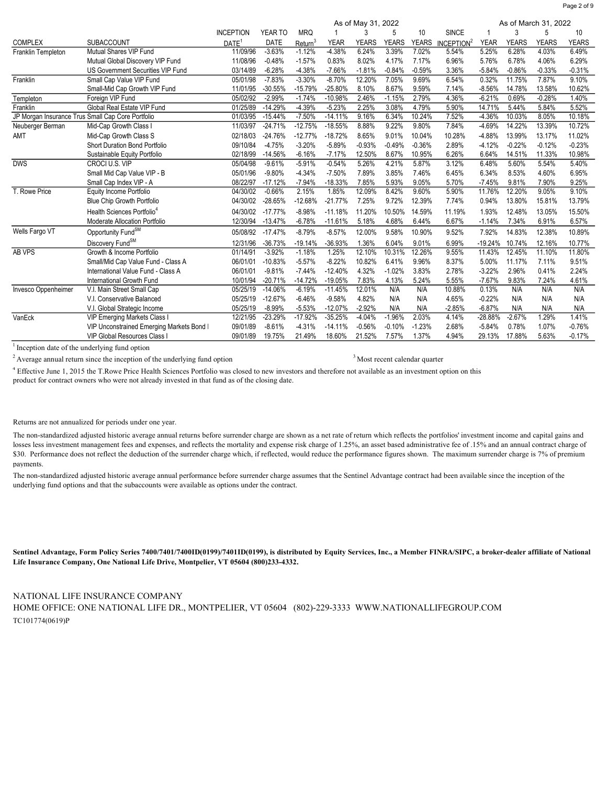COMPLEX SUBACCOUNT INCEPTION <u>DATE<sup>1</sup></u><br>11/09/96 YEAR TO DATE MRQ Return<sup>3</sup> 1 YEAR 3 **YFARS** 5 YEARS 10 YEARS **SINCE ICEPTION**<sup>2</sup> 1 YEAR 3 YEARS 5 **YFARS** 10 YEARS Franklin Templeton Mutual Shares VIP Fund 11/09/96 -3.63% -1.12% -4.38% 6.24% 3.39% 7.02% 5.54% 5.25% 6.28% 4.03% 6.49% Mutual Global Discovery VIP Fund 11/08/96 -0.48% -1.57% 0.83% 8.02% 4.17% 7.17% 6.96% 5.76% 6.78% 4.06% 6.29% US Government Securities VIP Fund 03/14/89 -6.28% -4.38% -7.66% -1.81% -0.84% -0.59% 3.36% -5.84% -0.86% -0.33% -0.31% Franklin Small Cap Value VIP Fund 05/01/98 -7.83% -3.30% -8.70% 12.20% 7.05% 9.69% 6.54% 0.32% 11.75% 7.87% 9.10% Small-Mid Cap Growth VIP Fund 11/01/95 -30.55% -15.79% -25.80% 8.10% 8.67% 9.59% 7.14% -8.56% 14.78% 13.58% 10.62% Templeton Foreign VIP Fund 05/02/92 -2.99% -1.74% -10.98% 2.46% -1.15% 2.79% 4.36% -6.21% 0.69% -0.28% 1.40% Franklin Global Real Estate VIP Fund 01/25/89 -14.29% -4.39% -5.23% 2.25% 3.08% 4.79% 5.90% 14.71% 5.44% 5.84% 5.52% JP Morgan Insurance Trus Small Cap Core Portfolio 20103/95 -15.44% -7.50% -14.11% 9.16% 6.34% 10.24% 7.52% -4.36% 10.03% 8.05% 10.18% Neuberger Berman Mid-Cap Growth Class I 11/03/97 -24.71% -12.75% -18.55% 8.88% 9.22% 9.80% 7.84% -4.69% 14.22% 13.39% 10.72% AMT Mid-Cap Growth Class S 02/18/03 -24.76% -12.77% -18.72% 8.65% 9.01% 10.04% 10.28% -4.88% 13.99% 13.17% 11.02% Short Duration Bond Portfolio **09/10/84 -4.75% -3.20% -5.89% -0.93% -0.49%** -0.36% 2.89% -4.12% -0.22% -0.12% -0.23% Sustainable Equity Portfolio 2000 02/18/99 -14.56% -6.16% -7.17% 12.50% 8.67% 10.95% 6.26% 6.64% 14.51% 11.33% DWS CROCI U.S. VIP 05/04/98 -9.61% -5.91% -0.54% 5.26% 4.21% 5.87% 3.12% 6.48% 5.60% 5.54% 5.40% Small Mid Cap Value VIP - B 05/01/96 -9.80% -4.34% -7.50% 7.89% 3.85% 7.46% 6.45% 6.34% 8.53% 4.60% 6.95% Small Cap Index VIP - A 08/22/97 -17.12% -7.94% -18.33% 7.85% 5.93% 9.05% 5.70% -7.45% 9.81% 7.90% 9.25% T. Rowe Price Equity Income Portfolio 04/30/02 -0.66% 2.15% 1.85% 12.09% 8.42% 9.60% 5.90% 11.76% 12.20% 9.05% 9.10% Blue Chip Growth Portfolio 04/30/02 -28.65% -12.68% -21.77% 7.25% 9.72% 12.39% 7.74% 0.94% 13.80% 15.81% 13.79% Health Sciences Portfolio<sup>4</sup> 04/30/02 -17.77% -8.98% -11.18% 11.20% 10.50% 14.59% 11.19% 1.93% 12.48% 13.05% 15.50% Moderate Allocation Portfolio 12/30/94 -13.47% -6.78% -11.61% 5.18% 4.68% 6.44% 6.67% -1.14% 7.34% 6.91% 6.57% Wells Fargo VT Opportunity FundSM 05/08/92 -17.47% -8.79% -8.57% 12.00% 9.58% 10.90% 9.52% 7.92% 14.83% 12.38% 10.89% Discovery FundSM 12/31/96 -36.73% -19.14% -36.93% 1.36% 6.04% 9.01% 6.99% -19.24% 10.74% 12.16% 10.77% AB VPS Growth & Income Portfolio 01/14/91 -3.92% -1.18% 1.25% 12.10% 10.31% 12.26% 9.55% 11.43% 12.45% 11.10% 11.80% Small/Mid Cap Value Fund - Class A 06/01/01 -10.83% -5.57% -8.22% 10.82% 6.41% 9.96% 8.37% 5.00% 11.17% 7.11% 9.51% International Value Fund - Class A 06/01/01 -9.81% -7.44% -12.40% 4.32% -1.02% 3.83% 2.78% -3.22% 2.96% 0.41% 2.24% International Growth Fund 10/01/94 -20.71% -14.72% -19.05% 7.83% 4.13% 5.24% 5.55% -7.67% 9.83% 7.24% 4.61% Invesco Oppenheimer V.I. Main Street Small Cap 05/25/19 -14.06% -6.19% -11.45% 12.01% N/A N/A 10.88% 0.13% N/A N/A N/A V.I. Conservative Balanced 05/25/19 -12.67% -6.46% -9.58% 4.82% N/A N/A 4.65% -0.22% N/A N/A N/A V.I. Global Strategic Income 05/25/19 -8.99% -5.53% -12.07% -2.92% N/A N/A -2.85% -6.87% N/A N/A N/A VanEck VIP Emerging Markets Class I 12/21/95 -23.29% -17.92% -35.25% -4.04% -1.96% 2.03% 4.14% -28.88% -2.67% 1.29% 1.41% VIP Unconstrained Emerging Markets Bond Fund Class I 09/01/89 -8.61% -4.31% -14.11% -0.56% -0.10% -1.23% 2.68% -5.84% 0.78% 1.07% -0.76% VIP Global Resources Class I 09/01/89 19.75% 21.49% 18.60% 21.52% 7.57% 1.37% 4.94% 29.13% 17.88% 5.63% -0.17% As of May 31, 2022 **As of March 31, 2022** 

<sup>1</sup> Inception date of the underlying fund option

<sup>2</sup> Average annual return since the inception of the underlying fund option

<sup>3</sup> Most recent calendar quarter

<sup>4</sup> Effective June 1, 2015 the T.Rowe Price Health Sciences Portfolio was closed to new investors and therefore not available as an investment option on this product for contract owners who were not already invested in that fund as of the closing date.

Returns are not annualized for periods under one year.

The non-standardized adjusted historic average annual returns before surrender charge are shown as a net rate of return which reflects the portfolios' investment income and capital gains and losses less investment management fees and expenses, and reflects the mortality and expense risk charge of 1.25%, an asset based administrative fee of .15% and an annual contract charge of \$30. Performance does not reflect the deduction of the surrender charge which, if reflected, would reduce the performance figures shown. The maximum surrender charge is 7% of premium payments.

The non-standardized adjusted historic average annual performance before surrender charge assumes that the Sentinel Advantage contract had been available since the inception of the underlying fund options and that the subaccounts were available as options under the contract.

Sentinel Advantage, Form Policy Series 7400/7401/7400ID(0199)/7401ID(0199), is distributed by Equity Services, Inc., a Member FINRA/SIPC, a broker-dealer affiliate of National Life Insurance Company, One National Life Drive, Montpelier, VT 05604 (800)233-4332.

NATIONAL LIFE INSURANCE COMPANY

TC101774(0619)P HOME OFFICE: ONE NATIONAL LIFE DR., MONTPELIER, VT 05604 (802)-229-3333 WWW.NATIONALLIFEGROUP.COM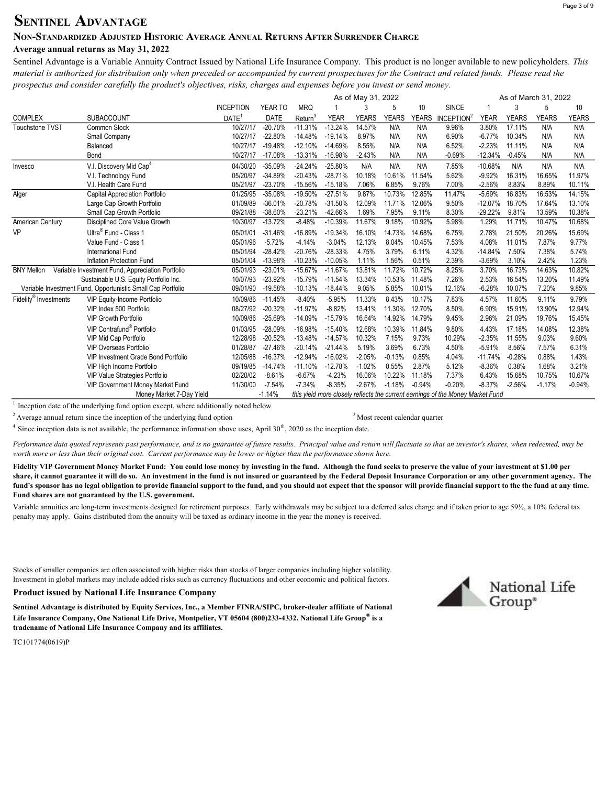# SENTINEL ADVANTAGE

## NON-STANDARDIZED ADJUSTED HISTORIC AVERAGE ANNUAL RETURNS AFTER SURRENDER CHARGE

## Average annual returns as May 31, 2022

Sentinel Advantage is a Variable Annuity Contract Issued by National Life Insurance Company. This product is no longer available to new policyholders. This material is authorized for distribution only when preceded or accompanied by current prospectuses for the Contract and related funds. Please read the prospectus and consider carefully the product's objectives, risks, charges and expenses before you invest or send money.

|                                   |                                                             | As of May 31, 2022<br>As of March 31, 2022 |             |            |             |              |              |              |                                                                                |             |              |              |              |
|-----------------------------------|-------------------------------------------------------------|--------------------------------------------|-------------|------------|-------------|--------------|--------------|--------------|--------------------------------------------------------------------------------|-------------|--------------|--------------|--------------|
|                                   |                                                             | <b>INCEPTION</b>                           | YEAR TO     | <b>MRQ</b> |             |              | 5            | 10           | <b>SINCE</b>                                                                   |             |              | 5            | 10           |
| <b>COMPLEX</b>                    | <b>SUBACCOUNT</b>                                           | DATE <sup>1</sup>                          | <b>DATE</b> | Return     | <b>YEAR</b> | <b>YEARS</b> | <b>YEARS</b> | <b>YEARS</b> | INCEPTION <sup>2</sup>                                                         | <b>YEAR</b> | <b>YEARS</b> | <b>YEARS</b> | <b>YEARS</b> |
| <b>Touchstone TVST</b>            | Common Stock                                                | 10/27/17                                   | $-20.70%$   | $-11.31%$  | $-13.24%$   | 14.57%       | N/A          | N/A          | 9.96%                                                                          | 3.80%       | 17.11%       | N/A          | N/A          |
|                                   | Small Company                                               | 10/27/17                                   | $-22.80%$   | $-14.48%$  | $-19.14%$   | 8.97%        | N/A          | N/A          | 6.90%                                                                          | $-6.77%$    | 10.34%       | N/A          | N/A          |
|                                   | Balanced                                                    | 10/27/17                                   | $-19.48%$   | $-12.10%$  | $-14.69%$   | 8.55%        | N/A          | N/A          | 6.52%                                                                          | $-2.23%$    | 11.11%       | N/A          | N/A          |
|                                   | Bond                                                        | 10/27/17                                   | $-17.08%$   | $-13.31%$  | $-16.98%$   | $-2.43%$     | N/A          | N/A          | -0.69%                                                                         | $-12.34%$   | $-0.45%$     | N/A          | N/A          |
| Invesco                           | V.I. Discovery Mid Cap <sup>4</sup>                         | 04/30/20                                   | $-35.09%$   | $-24.24%$  | $-25.80%$   | N/A          | N/A          | N/A          | 7.85%                                                                          | $-10.68%$   | N/A          | N/A          | N/A          |
|                                   | V.I. Technology Fund                                        | 05/20/97                                   | $-34.89%$   | $-20.43%$  | $-28.71%$   | 10.18%       | 10.61%       | 11.54%       | 5.62%                                                                          | $-9.92%$    | 16.31%       | 16.65%       | 11.97%       |
|                                   | V.I. Health Care Fund                                       | 05/21/97                                   | $-23.70%$   | $-15.56%$  | $-15.18%$   | 7.06%        | 6.85%        | 9.76%        | 7.00%                                                                          | $-2.56%$    | 8.83%        | 8.89%        | 10.11%       |
| Alger                             | <b>Capital Appreciation Portfolio</b>                       | 01/25/95                                   | $-35.08%$   | $-19.50%$  | $-27.51%$   | 9.87%        | 10.73%       | 12.85%       | 11.47%                                                                         | $-5.69%$    | 16.83%       | 16.53%       | 14.15%       |
|                                   | Large Cap Growth Portfolio                                  | 01/09/89                                   | $-36.01%$   | $-20.78%$  | $-31.50%$   | 12.09%       | 11.71%       | 12.06%       | 9.50%                                                                          | $-12.07%$   | 18.70%       | 17.64%       | 13.10%       |
|                                   | Small Cap Growth Portfolio                                  | 09/21/88                                   | $-38.60%$   | $-23.21%$  | $-42.66%$   | 1.69%        | 7.95%        | 9.11%        | 8.30%                                                                          | $-29.22%$   | 9.81%        | 13.59%       | 10.38%       |
| American Century                  | Disciplined Core Value Growth                               | 10/30/97                                   | $-13.72%$   | $-8.48%$   | $-10.39%$   | 11.67%       | 9.18%        | 10.92%       | 5.98%                                                                          | 1.29%       | 11.71%       | 10.47%       | 10.68%       |
| VP                                | Ultra <sup>®</sup> Fund - Class 1                           | 05/01/01                                   | $-31.46%$   | $-16.89%$  | $-19.34%$   | 16.10%       | 14.73%       | 14.68%       | 6.75%                                                                          | 2.78%       | 21.50%       | 20.26%       | 15.69%       |
|                                   | Value Fund - Class 1                                        | 05/01/96                                   | $-5.72%$    | $-4.14%$   | $-3.04%$    | 12.13%       | 8.04%        | 10.45%       | 7.53%                                                                          | 4.08%       | 11.01%       | 7.87%        | 9.77%        |
|                                   | International Fund                                          | 05/01/94                                   | $-28.42%$   | $-20.76%$  | $-28.33%$   | 4.75%        | 3.79%        | 6.11%        | 4.32%                                                                          | $-14.84%$   | 7.50%        | 7.38%        | 5.74%        |
|                                   | Inflation Protection Fund                                   | 05/01/04                                   | $-13.98%$   | $-10.23%$  | $-10.05%$   | 1.11%        | 1.56%        | 0.51%        | 2.39%                                                                          | $-3.69%$    | 3.10%        | 2.42%        | 1.23%        |
| <b>BNY Mellon</b>                 | Variable Investment Fund, Appreciation Portfolio            | 05/01/93                                   | $-23.01%$   | $-15.67%$  | $-11.67%$   | 13.81%       | 11.72%       | 10.72%       | 8.25%                                                                          | 3.70%       | 16.73%       | 14.63%       | 10.82%       |
|                                   | Sustainable U.S. Equity Portfolio Inc.                      | 10/07/93                                   | $-23.92%$   | $-15.79%$  | $-11.54%$   | 13.34%       | 10.53%       | 11.48%       | 7.26%                                                                          | 2.53%       | 16.54%       | 13.20%       | 11.49%       |
|                                   | Variable Investment Fund, Opportunistic Small Cap Portfolio | 09/01/90                                   | $-19.58%$   | $-10.13%$  | $-18.44%$   | 9.05%        | 5.85%        | 10.01%       | 12.16%                                                                         | $-6.28%$    | 10.07%       | 7.20%        | 9.85%        |
| Fidelity <sup>®</sup> Investments | <b>VIP Equity-Income Portfolio</b>                          | 10/09/86                                   | $-11.45%$   | $-8.40%$   | $-5.95%$    | 11.33%       | 8.43%        | 10.17%       | 7.83%                                                                          | 4.57%       | 11.60%       | 9.11%        | 9.79%        |
|                                   | VIP Index 500 Portfolio                                     | 08/27/92                                   | $-20.32%$   | $-11.97%$  | $-8.82%$    | 13.41%       | 11.30%       | 12.70%       | 8.50%                                                                          | 6.90%       | 15.91%       | 13.90%       | 12.94%       |
|                                   | <b>VIP Growth Portfolio</b>                                 | 10/09/86                                   | $-25.69%$   | $-14.09%$  | $-15.79%$   | 16.64%       | 14.92%       | 14.79%       | 9.45%                                                                          | 2.96%       | 21.09%       | 19.76%       | 15.45%       |
|                                   | VIP Contrafund <sup>®</sup> Portfolio                       | 01/03/95                                   | $-28.09%$   | $-16.98%$  | $-15.40%$   | 12.68%       | 10.39%       | 11.84%       | 9.80%                                                                          | 4.43%       | 17.18%       | 14.08%       | 12.38%       |
|                                   | VIP Mid Cap Portfolio                                       | 12/28/98                                   | $-20.52%$   | $-13.48%$  | $-14.57%$   | 10.32%       | 7.15%        | 9.73%        | 10.29%                                                                         | $-2.35%$    | 11.55%       | 9.03%        | 9.60%        |
|                                   | <b>VIP Overseas Portfolio</b>                               | 01/28/87                                   | $-27.46%$   | $-20.14%$  | $-21.44%$   | 5.19%        | 3.69%        | 6.73%        | 4.50%                                                                          | $-5.91%$    | 8.56%        | 7.57%        | 6.31%        |
|                                   | <b>VIP Investment Grade Bond Portfolio</b>                  | 12/05/88                                   | $-16.37%$   | $-12.94%$  | $-16.02%$   | $-2.05%$     | $-0.13%$     | 0.85%        | 4.04%                                                                          | $-11.74%$   | $-0.28%$     | 0.88%        | 1.43%        |
|                                   | VIP High Income Portfolio                                   | 09/19/85                                   | $-14.74%$   | $-11.10%$  | $-12.78%$   | $-1.02%$     | 0.55%        | 2.87%        | 5.12%                                                                          | $-8.36%$    | 0.38%        | 1.68%        | 3.21%        |
|                                   | VIP Value Strategies Portfolio                              | 02/20/02                                   | $-8.61%$    | $-6.67%$   | $-4.23%$    | 16.06%       | 10.22%       | 11.18%       | 7.37%                                                                          | 6.43%       | 15.68%       | 10.75%       | 10.67%       |
|                                   | VIP Government Money Market Fund                            | 11/30/00                                   | $-7.54%$    | $-7.34%$   | $-8.35%$    | $-2.67%$     | $-1.18%$     | $-0.94%$     | $-0.20%$                                                                       | $-8.37%$    | $-2.56%$     | $-1.17%$     | $-0.94%$     |
|                                   | Money Market 7-Day Yield                                    |                                            | $-1.14%$    |            |             |              |              |              | this yield more closely reflects the current earnings of the Money Market Fund |             |              |              |              |

 $1$  Inception date of the underlying fund option except, where additionally noted below

<sup>2</sup> Average annual return since the inception of the underlying fund option

<sup>3</sup> Most recent calendar quarter

 $4$  Since inception data is not available, the performance information above uses, April 30<sup>th</sup>, 2020 as the inception date.

Performance data quoted represents past performance, and is no guarantee of future results. Principal value and return will fluctuate so that an investor's shares, when redeemed, may be worth more or less than their original cost. Current performance may be lower or higher than the performance shown here.

Fidelity VIP Government Money Market Fund: You could lose money by investing in the fund. Although the fund seeks to preserve the value of your investment at \$1.00 per share, it cannot guarantee it will do so. An investment in the fund is not insured or guaranteed by the Federal Deposit Insurance Corporation or any other government agency. The fund's sponsor has no legal obligation to provide financial support to the fund, and you should not expect that the sponsor will provide financial support to the the fund at any time. Fund shares are not guaranteed by the U.S. government.

Variable annuities are long-term investments designed for retirement purposes. Early withdrawals may be subject to a deferred sales charge and if taken prior to age 59½, a 10% federal tax penalty may apply. Gains distributed from the annuity will be taxed as ordinary income in the year the money is received.

Stocks of smaller companies are often associated with higher risks than stocks of larger companies including higher volatility. Investment in global markets may include added risks such as currency fluctuations and other economic and political factors.

#### Product issued by National Life Insurance Company

Sentinel Advantage is distributed by Equity Services, Inc., a Member FINRA/SIPC, broker-dealer affiliate of National Life Insurance Company, One National Life Drive, Montpelier, VT 05604 (800)233-4332. National Life Group® is a tradename of National Life Insurance Company and its affiliates.



TC101774(0619)P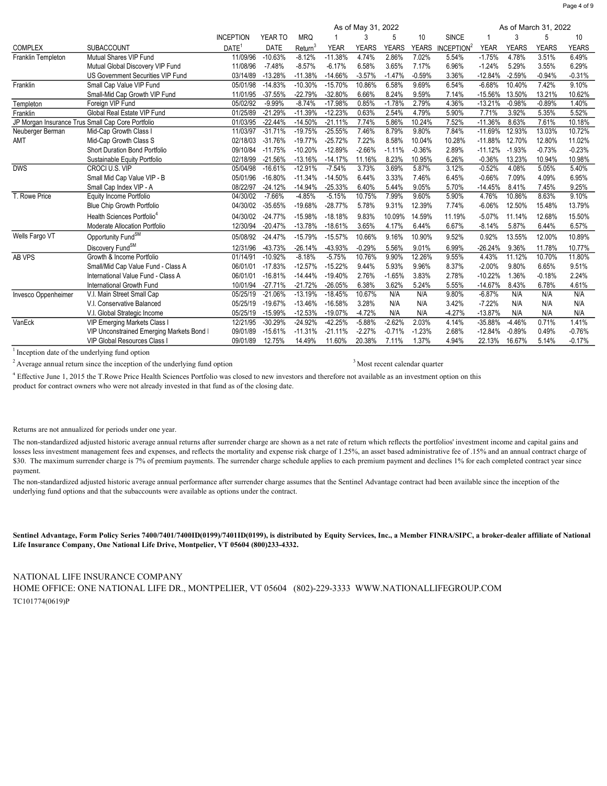|                                                   |                                           | As of May 31, 2022<br>As of March 31, 2022 |           |            |             |              |              |              |                        |             |              |              |              |
|---------------------------------------------------|-------------------------------------------|--------------------------------------------|-----------|------------|-------------|--------------|--------------|--------------|------------------------|-------------|--------------|--------------|--------------|
|                                                   |                                           | <b>INCEPTION</b>                           | YEAR TO   | <b>MRQ</b> |             |              | 5            | 10           | <b>SINCE</b>           |             | 3            | 5            | 10           |
| <b>COMPLEX</b>                                    | <b>SUBACCOUNT</b>                         | DATE <sup>1</sup>                          | DATE      | Return     | <b>YEAR</b> | <b>YEARS</b> | <b>YEARS</b> | <b>YEARS</b> | INCEPTION <sup>2</sup> | <b>YEAR</b> | <b>YEARS</b> | <b>YEARS</b> | <b>YEARS</b> |
| Franklin Templeton                                | Mutual Shares VIP Fund                    | 11/09/96                                   | $-10.63%$ | $-8.12%$   | $-11.38%$   | 4.74%        | 2.86%        | 7.02%        | 5.54%                  | $-1.75%$    | 4.78%        | 3.51%        | 6.49%        |
|                                                   | Mutual Global Discovery VIP Fund          | 11/08/96                                   | $-7.48%$  | $-8.57%$   | $-6.17%$    | 6.58%        | 3.65%        | 7.17%        | 6.96%                  | $-1.24%$    | 5.29%        | 3.55%        | 6.29%        |
|                                                   | US Government Securities VIP Fund         | 03/14/89                                   | $-13.28%$ | $-11.38%$  | $-14.66%$   | $-3.57%$     | $-1.47%$     | $-0.59%$     | 3.36%                  | $-12.84%$   | $-2.59%$     | $-0.94%$     | $-0.31%$     |
| Franklin                                          | Small Cap Value VIP Fund                  | 05/01/98                                   | $-14.83%$ | $-10.30%$  | $-15.70%$   | 10.86%       | 6.58%        | 9.69%        | 6.54%                  | $-6.68%$    | 10.40%       | 7.42%        | 9.10%        |
|                                                   | Small-Mid Cap Growth VIP Fund             | 11/01/95                                   | $-37.55%$ | $-22.79%$  | $-32.80%$   | 6.66%        | 8.24%        | 9.59%        | 7.14%                  | $-15.56%$   | 13.50%       | 13.21%       | 10.62%       |
| Templeton                                         | Foreign VIP Fund                          | 05/02/92                                   | $-9.99%$  | $-8.74%$   | $-17.98%$   | 0.85%        | $-1.78%$     | 2.79%        | 4.36%                  | $-13.21%$   | $-0.98%$     | $-0.89%$     | 1.40%        |
| Franklin                                          | Global Real Estate VIP Fund               | 01/25/89                                   | $-21.29%$ | $-11.39%$  | $-12.23%$   | 0.63%        | 2.54%        | 4.79%        | 5.90%                  | 7.71%       | 3.92%        | 5.35%        | 5.52%        |
| JP Morgan Insurance Trus Small Cap Core Portfolio |                                           | 01/03/95                                   | $-22.44%$ | $-14.50%$  | $-21.11%$   | 7.74%        | 5.86%        | 10.24%       | 7.52%                  | $-11.36%$   | 8.63%        | 7.61%        | 10.18%       |
| Neuberger Berman                                  | Mid-Cap Growth Class I                    | 11/03/97                                   | $-31.71%$ | $-19.75%$  | $-25.55%$   | 7.46%        | 8.79%        | 9.80%        | 7.84%                  | $-11.69%$   | 12.93%       | 13.03%       | 10.72%       |
| AMT                                               | Mid-Cap Growth Class S                    | 02/18/03                                   | $-31.76%$ | $-19.77%$  | $-25.72%$   | 7.22%        | 8.58%        | 10.04%       | 10.28%                 | $-11.88%$   | 12.70%       | 12.80%       | 11.02%       |
|                                                   | <b>Short Duration Bond Portfolio</b>      | 09/10/84                                   | $-11.75%$ | $-10.20%$  | $-12.89%$   | $-2.66%$     | $-1.11%$     | $-0.36%$     | 2.89%                  | $-11.12%$   | $-1.93%$     | $-0.73%$     | $-0.23%$     |
|                                                   | Sustainable Equity Portfolio              | 02/18/99                                   | $-21.56%$ | $-13.16%$  | $-14.17%$   | 11.16%       | 8.23%        | 10.95%       | 6.26%                  | $-0.36%$    | 13.23%       | 10.94%       | 10.98%       |
| <b>DWS</b>                                        | CROCI U.S. VIP                            | 05/04/98                                   | $-16.61%$ | $-12.91%$  | $-7.54%$    | 3.73%        | 3.69%        | 5.87%        | 3.12%                  | $-0.52%$    | 4.08%        | 5.05%        | 5.40%        |
|                                                   | Small Mid Cap Value VIP - B               | 05/01/96                                   | $-16.80%$ | $-11.34%$  | $-14.50%$   | 6.44%        | 3.33%        | 7.46%        | 6.45%                  | $-0.66%$    | 7.09%        | 4.09%        | 6.95%        |
|                                                   | Small Cap Index VIP - A                   | 08/22/97                                   | $-24.12%$ | $-14.94%$  | $-25.33%$   | 6.40%        | 5.44%        | 9.05%        | 5.70%                  | $-14.45%$   | 8.41%        | 7.45%        | 9.25%        |
| T. Rowe Price                                     | Equity Income Portfolio                   | 04/30/02                                   | $-7.66%$  | $-4.85%$   | $-5.15%$    | 10.75%       | 7.99%        | 9.60%        | 5.90%                  | 4.76%       | 10.86%       | 8.63%        | 9.10%        |
|                                                   | Blue Chip Growth Portfolio                | 04/30/02                                   | $-35.65%$ | $-19.68%$  | $-28.77%$   | 5.78%        | 9.31%        | 12.39%       | 7.74%                  | $-6.06%$    | 12.50%       | 15.48%       | 13.79%       |
|                                                   | Health Sciences Portfolio <sup>4</sup>    | 04/30/02                                   | $-24.77%$ | $-15.98%$  | $-18.18%$   | 9.83%        | 10.09%       | 14.59%       | 11.19%                 | $-5.07%$    | 11.14%       | 12.68%       | 15.50%       |
|                                                   | Moderate Allocation Portfolio             | 12/30/94                                   | $-20.47%$ | $-13.78%$  | $-18.61%$   | 3.65%        | 4.17%        | 6.44%        | 6.67%                  | $-8.14%$    | 5.87%        | 6.44%        | 6.57%        |
| Wells Fargo VT                                    | Opportunity Fund <sup>SM</sup>            | 05/08/92                                   | $-24.47%$ | $-15.79%$  | $-15.57%$   | 10.66%       | 9.16%        | 10.90%       | 9.52%                  | 0.92%       | 13.55%       | 12.00%       | 10.89%       |
|                                                   | Discovery Fund <sup>SM</sup>              | 12/31/96                                   | $-43.73%$ | $-26.14%$  | -43.93%     | $-0.29%$     | 5.56%        | 9.01%        | 6.99%                  | $-26.24%$   | 9.36%        | 11.78%       | 10.77%       |
| AB VPS                                            | Growth & Income Portfolio                 | 01/14/91                                   | $-10.92%$ | $-8.18%$   | $-5.75%$    | 10.76%       | 9.90%        | 12.26%       | 9.55%                  | 4.43%       | 11.12%       | 10.70%       | 11.80%       |
|                                                   | Small/Mid Cap Value Fund - Class A        | 06/01/01                                   | $-17.83%$ | $-12.57%$  | $-15.22%$   | 9.44%        | 5.93%        | 9.96%        | 8.37%                  | $-2.00%$    | 9.80%        | 6.65%        | 9.51%        |
|                                                   | International Value Fund - Class A        | 06/01/01                                   | $-16.81%$ | $-14.44%$  | $-19.40%$   | 2.76%        | $-1.65%$     | 3.83%        | 2.78%                  | $-10.22%$   | 1.36%        | $-0.18%$     | 2.24%        |
|                                                   | International Growth Fund                 | 10/01/94                                   | $-27.71%$ | $-21.72%$  | $-26.05%$   | 6.38%        | 3.62%        | 5.24%        | 5.55%                  | $-14.67%$   | 8.43%        | 6.78%        | 4.61%        |
| Invesco Oppenheimer                               | V.I. Main Street Small Cap                | 05/25/19                                   | $-21.06%$ | $-13.19%$  | $-18.45%$   | 10.67%       | N/A          | N/A          | 9.80%                  | $-6.87%$    | N/A          | N/A          | N/A          |
|                                                   | V.I. Conservative Balanced                | 05/25/19                                   | $-19.67%$ | $-13.46%$  | $-16.58%$   | 3.28%        | N/A          | N/A          | 3.42%                  | $-7.22%$    | N/A          | N/A          | N/A          |
|                                                   | V.I. Global Strategic Income              | 05/25/19                                   | $-15.99%$ | $-12.53%$  | $-19.07%$   | $-4.72%$     | N/A          | N/A          | $-4.27%$               | $-13.87%$   | N/A          | N/A          | N/A          |
| VanEck                                            | <b>VIP Emerging Markets Class I</b>       | 12/21/95                                   | $-30.29%$ | $-24.92%$  | $-42.25%$   | $-5.88%$     | $-2.62%$     | 2.03%        | 4.14%                  | $-35.88%$   | $-4.46%$     | 0.71%        | 1.41%        |
|                                                   | VIP Unconstrained Emerging Markets Bond I | 09/01/89                                   | $-15.61%$ | $-11.31%$  | $-21.11%$   | $-2.27%$     | $-0.71%$     | $-1.23%$     | 2.68%                  | $-12.84%$   | $-0.89%$     | 0.49%        | $-0.76%$     |
|                                                   | VIP Global Resources Class I              | 09/01/89                                   | 12.75%    | 14.49%     | 11.60%      | 20.38%       | 7.11%        | 1.37%        | 4.94%                  | 22.13%      | 16.67%       | 5.14%        | $-0.17%$     |

<sup>1</sup> Inception date of the underlying fund option

<sup>2</sup> Average annual return since the inception of the underlying fund option 3Most recent calendar quarter

 $^4$  Effective June 1, 2015 the T.Rowe Price Health Sciences Portfolio was closed to new investors and therefore not available as an investment option on this product for contract owners who were not already invested in that fund as of the closing date.

Returns are not annualized for periods under one year.

The non-standardized adjusted historic average annual returns after surrender charge are shown as a net rate of return which reflects the portfolios' investment income and capital gains and losses less investment management fees and expenses, and reflects the mortality and expense risk charge of 1.25%, an asset based administrative fee of .15% and an annual contract charge of \$30. The maximum surrender charge is 7% of premium payments. The surrender charge schedule applies to each premium payment and declines 1% for each completed contract year since payment.

The non-standardized adjusted historic average annual performance after surrender charge assumes that the Sentinel Advantage contract had been available since the inception of the underlying fund options and that the subaccounts were available as options under the contract.

Sentinel Advantage, Form Policy Series 7400/7401/7400ID(0199)/7401ID(0199), is distributed by Equity Services, Inc., a Member FINRA/SIPC, a broker-dealer affiliate of National Life Insurance Company, One National Life Drive, Montpelier, VT 05604 (800)233-4332.

TC101774(0619)P NATIONAL LIFE INSURANCE COMPANY HOME OFFICE: ONE NATIONAL LIFE DR., MONTPELIER, VT 05604 (802)-229-3333 WWW.NATIONALLIFEGROUP.COM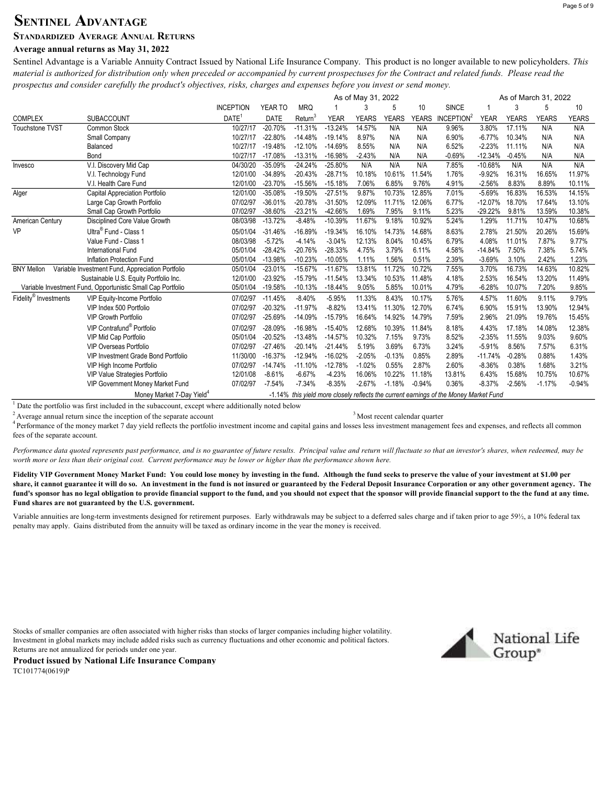# SENTINEL ADVANTAGE

## STANDARDIZED AVERAGE ANNUAL RETURNS

# Average annual returns as May 31, 2022

Sentinel Advantage is a Variable Annuity Contract Issued by National Life Insurance Company. This product is no longer available to new policyholders. This material is authorized for distribution only when preceded or accompanied by current prospectuses for the Contract and related funds. Please read the prospectus and consider carefully the product's objectives, risks, charges and expenses before you invest or send money.

|                                   |                                                             | As of March 31, 2022<br>As of May 31, 2022 |             |            |             |              |              |              |                                                                                       |             |              |              |              |
|-----------------------------------|-------------------------------------------------------------|--------------------------------------------|-------------|------------|-------------|--------------|--------------|--------------|---------------------------------------------------------------------------------------|-------------|--------------|--------------|--------------|
|                                   |                                                             | <b>INCEPTION</b>                           | YEAR TO     | <b>MRQ</b> |             | 3            | 5            | 10           | <b>SINCE</b>                                                                          |             | 3            | 5            | 10           |
| <b>COMPLEX</b>                    | <b>SUBACCOUNT</b>                                           | DATE <sup>1</sup>                          | <b>DATE</b> | Return     | <b>YEAR</b> | <b>YEARS</b> | <b>YEARS</b> | <b>YEARS</b> | INCEPTION <sup>2</sup>                                                                | <b>YEAR</b> | <b>YEARS</b> | <b>YEARS</b> | <b>YEARS</b> |
| <b>Touchstone TVST</b>            | Common Stock                                                | 10/27/17                                   | $-20.70%$   | $-11.31%$  | $-13.24%$   | 14.57%       | N/A          | N/A          | 9.96%                                                                                 | 3.80%       | 17.11%       | N/A          | N/A          |
|                                   | Small Company                                               | 10/27/17                                   | $-22.80%$   | $-14.48%$  | $-19.14%$   | 8.97%        | N/A          | N/A          | 6.90%                                                                                 | $-6.77%$    | 10.34%       | N/A          | N/A          |
|                                   | Balanced                                                    | 10/27/17                                   | $-19.48%$   | $-12.10%$  | $-14.69%$   | 8.55%        | N/A          | N/A          | 6.52%                                                                                 | $-2.23%$    | 11.11%       | N/A          | N/A          |
|                                   | Bond                                                        | 10/27/17                                   | $-17.08%$   | $-13.31%$  | $-16.98%$   | $-2.43%$     | N/A          | N/A          | $-0.69%$                                                                              | $-12.34%$   | $-0.45%$     | N/A          | N/A          |
| Invesco                           | V.I. Discovery Mid Cap                                      | 04/30/20                                   | $-35.09%$   | $-24.24%$  | $-25.80%$   | N/A          | N/A          | N/A          | 7.85%                                                                                 | $-10.68%$   | N/A          | N/A          | N/A          |
|                                   | V.I. Technology Fund                                        | 12/01/00                                   | $-34.89%$   | $-20.43%$  | $-28.71%$   | 10.18%       | 10.61%       | 11.54%       | 1.76%                                                                                 | $-9.92%$    | 16.31%       | 16.65%       | 11.97%       |
|                                   | V.I. Health Care Fund                                       | 12/01/00                                   | $-23.70%$   | $-15.56%$  | $-15.18%$   | 7.06%        | 6.85%        | 9.76%        | 4.91%                                                                                 | $-2.56%$    | 8.83%        | 8.89%        | 10.11%       |
| Alger                             | Capital Appreciation Portfolio                              | 12/01/00                                   | $-35.08%$   | $-19.50%$  | $-27.51%$   | 9.87%        | 10.73%       | 12.85%       | 7.01%                                                                                 | $-5.69%$    | 16.83%       | 16.53%       | 14.15%       |
|                                   | Large Cap Growth Portfolio                                  | 07/02/97                                   | $-36.01%$   | $-20.78%$  | $-31.50%$   | 12.09%       | 11.71%       | 12.06%       | 6.77%                                                                                 | $-12.07%$   | 18.70%       | 17.64%       | 13.10%       |
|                                   | Small Cap Growth Portfolio                                  | 07/02/97                                   | $-38.60%$   | $-23.21%$  | $-42.66%$   | 1.69%        | 7.95%        | 9.11%        | 5.23%                                                                                 | $-29.22%$   | 9.81%        | 13.59%       | 10.38%       |
| American Century                  | Disciplined Core Value Growth                               | 08/03/98                                   | $-13.72%$   | $-8.48%$   | $-10.39%$   | 11.67%       | 9.18%        | 10.92%       | 5.24%                                                                                 | 1.29%       | 11.71%       | 10.47%       | 10.68%       |
| <b>VP</b>                         | Ultra <sup>®</sup> Fund - Class 1                           | 05/01/04                                   | $-31.46%$   | $-16.89%$  | $-19.34%$   | 16.10%       | 14.73%       | 14.68%       | 8.63%                                                                                 | 2.78%       | 21.50%       | 20.26%       | 15.69%       |
|                                   | Value Fund - Class 1                                        | 08/03/98                                   | $-5.72%$    | $-4.14%$   | $-3.04%$    | 12.13%       | 8.04%        | 10.45%       | 6.79%                                                                                 | 4.08%       | 11.01%       | 7.87%        | 9.77%        |
|                                   | International Fund                                          | 05/01/04                                   | $-28.42%$   | $-20.76%$  | $-28.33%$   | 4.75%        | 3.79%        | 6.11%        | 4.58%                                                                                 | $-14.84%$   | 7.50%        | 7.38%        | 5.74%        |
|                                   | <b>Inflation Protection Fund</b>                            | 05/01/04                                   | $-13.98%$   | $-10.23%$  | $-10.05%$   | 1.11%        | 1.56%        | 0.51%        | 2.39%                                                                                 | $-3.69%$    | 3.10%        | 2.42%        | 1.23%        |
| <b>BNY Mellon</b>                 | Variable Investment Fund, Appreciation Portfolio            | 05/01/04                                   | $-23.01%$   | $-15.67%$  | $-11.67%$   | 13.81%       | 11.72%       | 10.72%       | 7.55%                                                                                 | 3.70%       | 16.73%       | 14.63%       | 10.82%       |
|                                   | Sustainable U.S. Equity Portfolio Inc.                      | 12/01/00                                   | $-23.92%$   | $-15.79%$  | $-11.54%$   | 13.34%       | 10.53%       | 11.48%       | 4.18%                                                                                 | 2.53%       | 16.54%       | 13.20%       | 11.49%       |
|                                   | Variable Investment Fund, Opportunistic Small Cap Portfolio | 05/01/04                                   | $-19.58%$   | $-10.13%$  | $-18.44%$   | 9.05%        | 5.85%        | 10.01%       | 4.79%                                                                                 | $-6.28%$    | 10.07%       | 7.20%        | 9.85%        |
| Fidelity <sup>®</sup> Investments | <b>VIP Equity-Income Portfolio</b>                          | 07/02/97                                   | $-11.45%$   | $-8.40%$   | $-5.95%$    | 11.33%       | 8.43%        | 10.17%       | 5.76%                                                                                 | 4.57%       | 11.60%       | 9.11%        | 9.79%        |
|                                   | VIP Index 500 Portfolio                                     | 07/02/97                                   | $-20.32%$   | $-11.97%$  | $-8.82%$    | 13.41%       | 11.30%       | 12.70%       | 6.74%                                                                                 | 6.90%       | 15.91%       | 13.90%       | 12.94%       |
|                                   | <b>VIP Growth Portfolio</b>                                 | 07/02/97                                   | $-25.69%$   | $-14.09%$  | $-15.79%$   | 16.64%       | 14.92%       | 14.79%       | 7.59%                                                                                 | 2.96%       | 21.09%       | 19.76%       | 15.45%       |
|                                   | VIP Contrafund <sup>®</sup> Portfolio                       | 07/02/97                                   | -28.09%     | $-16.98%$  | $-15.40%$   | 12.68%       | 10.39%       | 11.84%       | 8.18%                                                                                 | 4.43%       | 17.18%       | 14.08%       | 12.38%       |
|                                   | VIP Mid Cap Portfolio                                       | 05/01/04                                   | $-20.52%$   | $-13.48%$  | $-14.57%$   | 10.32%       | 7.15%        | 9.73%        | 8.52%                                                                                 | $-2.35%$    | 11.55%       | 9.03%        | 9.60%        |
|                                   | <b>VIP Overseas Portfolio</b>                               | 07/02/97                                   | $-27.46%$   | $-20.14%$  | $-21.44%$   | 5.19%        | 3.69%        | 6.73%        | 3.24%                                                                                 | $-5.91%$    | 8.56%        | 7.57%        | 6.31%        |
|                                   | <b>VIP Investment Grade Bond Portfolio</b>                  | 11/30/00                                   | $-16.37%$   | $-12.94%$  | $-16.02%$   | $-2.05%$     | $-0.13%$     | 0.85%        | 2.89%                                                                                 | $-11.74%$   | $-0.28%$     | 0.88%        | 1.43%        |
|                                   | VIP High Income Portfolio                                   | 07/02/97                                   | $-14.74%$   | $-11.10%$  | $-12.78%$   | $-1.02%$     | 0.55%        | 2.87%        | 2.60%                                                                                 | $-8.36%$    | 0.38%        | 1.68%        | 3.21%        |
|                                   | VIP Value Strategies Portfolio                              | 12/01/08                                   | $-8.61%$    | $-6.67%$   | $-4.23%$    | 16.06%       | 10.22%       | 11.18%       | 13.81%                                                                                | 6.43%       | 15.68%       | 10.75%       | 10.67%       |
|                                   | VIP Government Money Market Fund                            | 07/02/97                                   | $-7.54%$    | $-7.34%$   | $-8.35%$    | $-2.67%$     | $-1.18%$     | $-0.94%$     | 0.36%                                                                                 | $-8.37%$    | $-2.56%$     | $-1.17%$     | $-0.94%$     |
|                                   | Money Market 7-Day Yield <sup>4</sup>                       |                                            |             |            |             |              |              |              | -1.14% this yield more closely reflects the current earnings of the Money Market Fund |             |              |              |              |

 $1$  Date the portfolio was first included in the subaccount, except where additionally noted below

 $2$  Average annual return since the inception of the separate account

<sup>3</sup> Most recent calendar quarter

<sup>4</sup> Performance of the money market 7 day yield reflects the portfolio investment income and capital gains and losses less investment management fees and expenses, and reflects all common fees of the separate account.

Performance data quoted represents past performance, and is no guarantee of future results. Principal value and return will fluctuate so that an investor's shares, when redeemed, may be worth more or less than their original cost. Current performance may be lower or higher than the performance shown here.

Fidelity VIP Government Money Market Fund: You could lose money by investing in the fund. Although the fund seeks to preserve the value of your investment at \$1.00 per share, it cannot guarantee it will do so. An investment in the fund is not insured or guaranteed by the Federal Deposit Insurance Corporation or any other government agency. The fund's sponsor has no legal obligation to provide financial support to the fund, and you should not expect that the sponsor will provide financial support to the the fund at any time. Fund shares are not guaranteed by the U.S. government.

Variable annuities are long-term investments designed for retirement purposes. Early withdrawals may be subject to a deferred sales charge and if taken prior to age 59½, a 10% federal tax penalty may apply. Gains distributed from the annuity will be taxed as ordinary income in the year the money is received.

Stocks of smaller companies are often associated with higher risks than stocks of larger companies including higher volatility. Investment in global markets may include added risks such as currency fluctuations and other economic and political factors. Returns are not annualized for periods under one year.

National Life Group<sup>®</sup>

TC101774(0619)P Product issued by National Life Insurance Company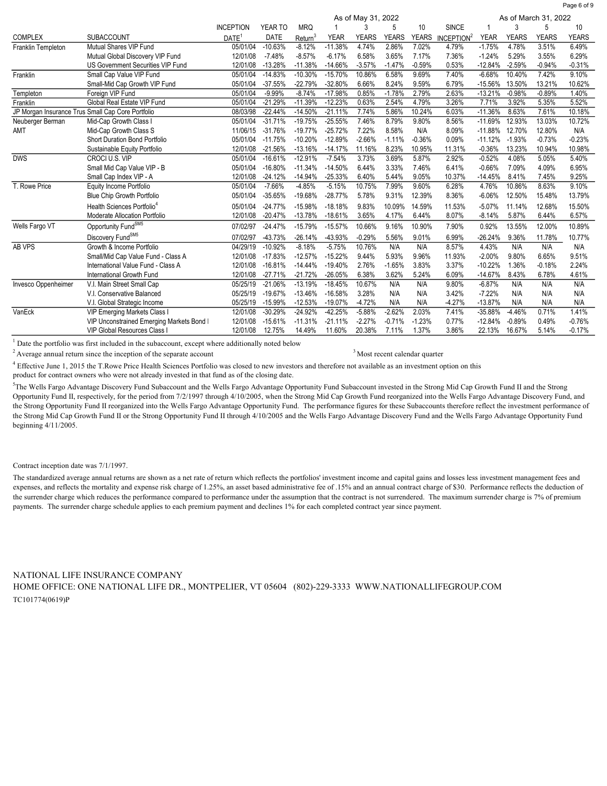|                     |                                                   | As of March 31, 2022<br>As of May 31, 2022 |           |            |             |              |              |              |                        |             |              |              |              |
|---------------------|---------------------------------------------------|--------------------------------------------|-----------|------------|-------------|--------------|--------------|--------------|------------------------|-------------|--------------|--------------|--------------|
|                     |                                                   | <b>INCEPTION</b>                           | YEAR TO   | <b>MRQ</b> |             | 3            | 5            | 10           | <b>SINCE</b>           |             |              | 5            | 10           |
| <b>COMPLEX</b>      | <b>SUBACCOUNT</b>                                 | $DATE$ <sup>1</sup>                        | DATE      | Return     | <b>YEAR</b> | <b>YEARS</b> | <b>YEARS</b> | <b>YEARS</b> | INCEPTION <sup>2</sup> | <b>YEAR</b> | <b>YEARS</b> | <b>YEARS</b> | <b>YEARS</b> |
| Franklin Templeton  | Mutual Shares VIP Fund                            | 05/01/04                                   | $-10.63%$ | $-8.12%$   | $-11.38%$   | 4.74%        | 2.86%        | 7.02%        | 4.79%                  | $-1.75%$    | 4.78%        | 3.51%        | 6.49%        |
|                     | Mutual Global Discovery VIP Fund                  | 12/01/08                                   | $-7.48%$  | $-8.57%$   | $-6.17%$    | 6.58%        | 3.65%        | 7.17%        | 7.36%                  | $-1.24%$    | 5.29%        | 3.55%        | 6.29%        |
|                     | US Government Securities VIP Fund                 | 12/01/08                                   | $-13.28%$ | $-11.38%$  | $-14.66%$   | $-3.57%$     | $-1.47%$     | $-0.59%$     | 0.53%                  | $-12.84%$   | $-2.59%$     | $-0.94%$     | $-0.31%$     |
| Franklin            | Small Cap Value VIP Fund                          | 05/01/04                                   | $-14.83%$ | $-10.30%$  | $-15.70%$   | 10.86%       | 6.58%        | 9.69%        | 7.40%                  | $-6.68%$    | 10.40%       | 7.42%        | 9.10%        |
|                     | Small-Mid Cap Growth VIP Fund                     | 05/01/04                                   | $-37.55%$ | $-22.79%$  | $-32.80%$   | 6.66%        | 8.24%        | 9.59%        | 6.79%                  | $-15.56%$   | 13.50%       | 13.21%       | 10.62%       |
| Templeton           | Foreign VIP Fund                                  | 05/01/04                                   | $-9.99%$  | $-8.74%$   | $-17.98%$   | 0.85%        | $-1.78%$     | 2.79%        | 2.63%                  | $-13.21%$   | $-0.98%$     | $-0.89%$     | 1.40%        |
| Franklin            | Global Real Estate VIP Fund                       | 05/01/04                                   | $-21.29%$ | $-11.39%$  | $-12.23%$   | 0.63%        | 2.54%        | 4.79%        | 3.26%                  | 7.71%       | 3.92%        | 5.35%        | 5.52%        |
|                     | JP Morgan Insurance Trus Small Cap Core Portfolio | 08/03/98                                   | $-22.44%$ | $-14.50%$  | $-21.11%$   | 7.74%        | 5.86%        | 10.24%       | 6.03%                  | $-11.36%$   | 8.63%        | 7.61%        | 10.18%       |
| Neuberger Berman    | Mid-Cap Growth Class I                            | 05/01/04                                   | $-31.71%$ | $-19.75%$  | $-25.55%$   | 7.46%        | 8.79%        | 9.80%        | 8.56%                  | $-11.69%$   | 12.93%       | 13.03%       | 10.72%       |
| AMT                 | Mid-Cap Growth Class S                            | 11/06/15                                   | $-31.76%$ | $-19.77%$  | $-25.72%$   | 7.22%        | 8.58%        | N/A          | 8.09%                  | $-11.88%$   | 12.70%       | 12.80%       | N/A          |
|                     | Short Duration Bond Portfolio                     | 05/01/04                                   | $-11.75%$ | $-10.20%$  | $-12.89%$   | $-2.66%$     | $-1.11%$     | $-0.36%$     | 0.09%                  | $-11.12%$   | $-1.93%$     | $-0.73%$     | $-0.23%$     |
|                     | Sustainable Equity Portfolio                      | 12/01/08                                   | $-21.56%$ | $-13.16%$  | $-14.17%$   | 11.16%       | 8.23%        | 10.95%       | 11.31%                 | $-0.36%$    | 13.23%       | 10.94%       | 10.98%       |
| <b>DWS</b>          | CROCI U.S. VIP                                    | 05/01/04                                   | $-16.61%$ | $-12.91%$  | $-7.54%$    | 3.73%        | 3.69%        | 5.87%        | 2.92%                  | $-0.52%$    | 4.08%        | 5.05%        | 5.40%        |
|                     | Small Mid Cap Value VIP - B                       | 05/01/04                                   | $-16.80%$ | $-11.34%$  | $-14.50%$   | 6.44%        | 3.33%        | 7.46%        | 6.41%                  | $-0.66%$    | 7.09%        | 4.09%        | 6.95%        |
|                     | Small Cap Index VIP - A                           | 12/01/08                                   | $-24.12%$ | $-14.94%$  | $-25.33%$   | 6.40%        | 5.44%        | 9.05%        | 10.37%                 | $-14.45%$   | 8.41%        | 7.45%        | 9.25%        |
| T. Rowe Price       | Equity Income Portfolio                           | 05/01/04                                   | $-7.66%$  | $-4.85%$   | $-5.15%$    | 10.75%       | 7.99%        | 9.60%        | 6.28%                  | 4.76%       | 10.86%       | 8.63%        | 9.10%        |
|                     | Blue Chip Growth Portfolio                        | 05/01/04                                   | $-35.65%$ | $-19.68%$  | $-28.77%$   | 5.78%        | 9.31%        | 12.39%       | 8.36%                  | $-6.06%$    | 12.50%       | 15.48%       | 13.79%       |
|                     | Health Sciences Portfolio <sup>4</sup>            | 05/01/04                                   | $-24.77%$ | $-15.98%$  | $-18.18%$   | 9.83%        | 10.09%       | 14.59%       | 11.53%                 | $-5.07%$    | 11.14%       | 12.68%       | 15.50%       |
|                     | Moderate Allocation Portfolio                     | 12/01/08                                   | $-20.47%$ | $-13.78%$  | $-18.61%$   | 3.65%        | 4.17%        | 6.44%        | 8.07%                  | $-8.14%$    | 5.87%        | 6.44%        | 6.57%        |
| Wells Fargo VT      | Opportunity Fund <sup>SM5</sup>                   | 07/02/97                                   | $-24.47%$ | $-15.79%$  | $-15.57%$   | 10.66%       | 9.16%        | 10.90%       | 7.90%                  | 0.92%       | 13.55%       | 12.00%       | 10.89%       |
|                     | Discovery Fund <sup>SM5</sup>                     | 07/02/97                                   | $-43.73%$ | $-26.14%$  | -43.93%     | $-0.29%$     | 5.56%        | 9.01%        | 6.99%                  | $-26.24%$   | 9.36%        | 11.78%       | 10.77%       |
| AB VPS              | Growth & Income Portfolio                         | 04/29/19                                   | $-10.92%$ | $-8.18%$   | $-5.75%$    | 10.76%       | N/A          | N/A          | 8.57%                  | 4.43%       | N/A          | N/A          | N/A          |
|                     | Small/Mid Cap Value Fund - Class A                | 12/01/08                                   | $-17.83%$ | $-12.57%$  | $-15.22%$   | 9.44%        | 5.93%        | 9.96%        | 11.93%                 | $-2.00%$    | 9.80%        | 6.65%        | 9.51%        |
|                     | International Value Fund - Class A                | 12/01/08                                   | $-16.81%$ | $-14.44%$  | $-19.40%$   | 2.76%        | $-1.65%$     | 3.83%        | 3.37%                  | $-10.22%$   | 1.36%        | $-0.18%$     | 2.24%        |
|                     | International Growth Fund                         | 12/01/08                                   | $-27.71%$ | $-21.72%$  | $-26.05%$   | 6.38%        | 3.62%        | 5.24%        | 6.09%                  | $-14.67%$   | 8.43%        | 6.78%        | 4.61%        |
| Invesco Oppenheimer | V.I. Main Street Small Cap                        | 05/25/19                                   | $-21.06%$ | $-13.19%$  | $-18.45%$   | 10.67%       | N/A          | N/A          | 9.80%                  | $-6.87%$    | N/A          | N/A          | N/A          |
|                     | V.I. Conservative Balanced                        | 05/25/19                                   | $-19.67%$ | $-13.46%$  | $-16.58%$   | 3.28%        | N/A          | N/A          | 3.42%                  | $-7.22%$    | N/A          | N/A          | N/A          |
|                     | V.I. Global Strategic Income                      | 05/25/19                                   | $-15.99%$ | $-12.53%$  | $-19.07%$   | $-4.72%$     | N/A          | N/A          | $-4.27%$               | $-13.87%$   | N/A          | N/A          | N/A          |
| VanEck              | <b>VIP Emerging Markets Class I</b>               | 12/01/08                                   | $-30.29%$ | $-24.92%$  | $-42.25%$   | $-5.88%$     | $-2.62%$     | 2.03%        | 7.41%                  | $-35.88%$   | $-4.46%$     | 0.71%        | 1.41%        |
|                     | VIP Unconstrained Emerging Markets Bond I         | 12/01/08                                   | $-15.61%$ | $-11.31%$  | $-21.11%$   | $-2.27%$     | $-0.71%$     | $-1.23%$     | 0.77%                  | $-12.84%$   | $-0.89%$     | 0.49%        | $-0.76%$     |
|                     | <b>VIP Global Resources Class I</b>               | 12/01/08                                   | 12.75%    | 14.49%     | 11.60%      | 20.38%       | 7.11%        | 1.37%        | 3.86%                  | 22.13%      | 16.67%       | 5.14%        | $-0.17%$     |
|                     |                                                   |                                            |           |            |             |              |              |              |                        |             |              |              |              |

<sup>1</sup> Date the portfolio was first included in the subaccount, except where additionally noted below

<sup>2</sup> Average annual return since the inception of the separate account

<sup>3</sup> Most recent calendar quarter

Page 6 of 9

 $^4$  Effective June 1, 2015 the T.Rowe Price Health Sciences Portfolio was closed to new investors and therefore not available as an investment option on this

product for contract owners who were not already invested in that fund as of the closing date.

<sup>5</sup>The Wells Fargo Advantage Discovery Fund Subaccount and the Wells Fargo Advantage Opportunity Fund Subaccount invested in the Strong Mid Cap Growth Fund II and the Strong Opportunity Fund II, respectively, for the period from 7/2/1997 through 4/10/2005, when the Strong Mid Cap Growth Fund reorganized into the Wells Fargo Advantage Discovery Fund, and the Strong Opportunity Fund II reorganized into the Wells Fargo Advantage Opportunity Fund. The performance figures for these Subaccounts therefore reflect the investment performance of the Strong Mid Cap Growth Fund II or the Strong Opportunity Fund II through 4/10/2005 and the Wells Fargo Advantage Discovery Fund and the Wells Fargo Advantage Opportunity Fund beginning 4/11/2005.

Contract inception date was 7/1/1997.

The standardized average annual returns are shown as a net rate of return which reflects the portfolios' investment income and capital gains and losses less investment management fees and expenses, and reflects the mortality and expense risk charge of 1.25%, an asset based administrative fee of .15% and an annual contract charge of \$30. Performance reflects the deduction of the surrender charge which reduces the performance compared to performance under the assumption that the contract is not surrendered. The maximum surrender charge is 7% of premium payments. The surrender charge schedule applies to each premium payment and declines 1% for each completed contract year since payment.

TC101774(0619)P HOME OFFICE: ONE NATIONAL LIFE DR., MONTPELIER, VT 05604 (802)-229-3333 WWW.NATIONALLIFEGROUP.COM NATIONAL LIFE INSURANCE COMPANY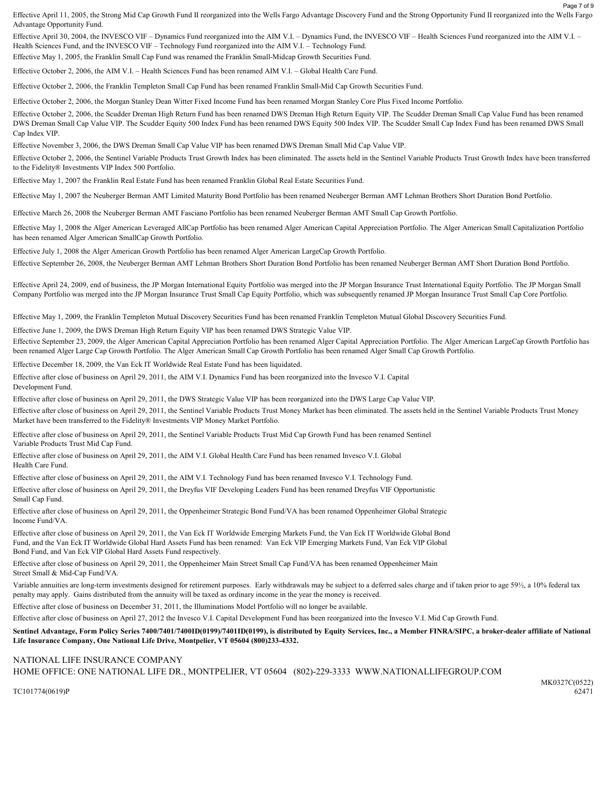Effective April 11, 2005, the Strong Mid Cap Growth Fund II reorganized into the Wells Fargo Advantage Discovery Fund and the Strong Opportunity Fund II reorganized into the Wells Fargo Advantage Opportunity Fund.

Effective April 30, 2004, the INVESCO VIF – Dynamics Fund reorganized into the AIM V.I. – Dynamics Fund, the INVESCO VIF – Health Sciences Fund reorganized into the AIM V.I. – Health Sciences Fund, and the INVESCO VIF – Technology Fund reorganized into the AIM V.I. – Technology Fund.

Effective May 1, 2005, the Franklin Small Cap Fund was renamed the Franklin Small-Midcap Growth Securities Fund.

Effective October 2, 2006, the AIM V.I. – Health Sciences Fund has been renamed AIM V.I. – Global Health Care Fund.

Effective October 2, 2006, the Franklin Templeton Small Cap Fund has been renamed Franklin Small-Mid Cap Growth Securities Fund.

Effective October 2, 2006, the Morgan Stanley Dean Witter Fixed Income Fund has been renamed Morgan Stanley Core Plus Fixed Income Portfolio.

Effective October 2, 2006, the Scudder Dreman High Return Fund has been renamed DWS Dreman High Return Equity VIP. The Scudder Dreman Small Cap Value Fund has been renamed DWS Dreman Small Cap Value VIP. The Scudder Equity 500 Index Fund has been renamed DWS Equity 500 Index VIP. The Scudder Small Cap Index Fund has been renamed DWS Small Cap Index VIP.

Effective November 3, 2006, the DWS Dreman Small Cap Value VIP has been renamed DWS Dreman Small Mid Cap Value VIP.

Effective October 2, 2006, the Sentinel Variable Products Trust Growth Index has been eliminated. The assets held in the Sentinel Variable Products Trust Growth Index have been transferred to the Fidelity® Investments VIP Index 500 Portfolio.

Effective May 1, 2007 the Franklin Real Estate Fund has been renamed Franklin Global Real Estate Securities Fund.

Effective May 1, 2007 the Neuberger Berman AMT Limited Maturity Bond Portfolio has been renamed Neuberger Berman AMT Lehman Brothers Short Duration Bond Portfolio.

Effective March 26, 2008 the Neuberger Berman AMT Fasciano Portfolio has been renamed Neuberger Berman AMT Small Cap Growth Portfolio.

Effective May 1, 2008 the Alger American Leveraged AllCap Portfolio has been renamed Alger American Capital Appreciation Portfolio. The Alger American Small Capitalization Portfolio has been renamed Alger American SmallCap Growth Portfolio.

Effective July 1, 2008 the Alger American Growth Portfolio has been renamed Alger American LargeCap Growth Portfolio.

Effective September 26, 2008, the Neuberger Berman AMT Lehman Brothers Short Duration Bond Portfolio has been renamed Neuberger Berman AMT Short Duration Bond Portfolio.

Effective April 24, 2009, end of business, the JP Morgan International Equity Portfolio was merged into the JP Morgan Insurance Trust International Equity Portfolio. The JP Morgan Small Company Portfolio was merged into the JP Morgan Insurance Trust Small Cap Equity Portfolio, which was subsequently renamed JP Morgan Insurance Trust Small Cap Core Portfolio.

Effective May 1, 2009, the Franklin Templeton Mutual Discovery Securities Fund has been renamed Franklin Templeton Mutual Global Discovery Securities Fund.

Effective June 1, 2009, the DWS Dreman High Return Equity VIP has been renamed DWS Strategic Value VIP.

Effective September 23, 2009, the Alger American Capital Appreciation Portfolio has been renamed Alger Capital Appreciation Portfolio. The Alger American LargeCap Growth Portfolio has been renamed Alger Large Cap Growth Portfolio. The Alger American Small Cap Growth Portfolio has been renamed Alger Small Cap Growth Portfolio.

Effective December 18, 2009, the Van Eck IT Worldwide Real Estate Fund has been liquidated.

Effective after close of business on April 29, 2011, the AIM V.I. Dynamics Fund has been reorganized into the Invesco V.I. Capital Development Fund.

Effective after close of business on April 29, 2011, the DWS Strategic Value VIP has been reorganized into the DWS Large Cap Value VIP.

Effective after close of business on April 29, 2011, the Sentinel Variable Products Trust Money Market has been eliminated. The assets held in the Sentinel Variable Products Trust Money Market have been transferred to the Fidelity® Investments VIP Money Market Portfolio.

Effective after close of business on April 29, 2011, the Sentinel Variable Products Trust Mid Cap Growth Fund has been renamed Sentinel Variable Products Trust Mid Cap Fund.

Effective after close of business on April 29, 2011, the AIM V.I. Global Health Care Fund has been renamed Invesco V.I. Global Health Care Fund.

Effective after close of business on April 29, 2011, the AIM V.I. Technology Fund has been renamed Invesco V.I. Technology Fund.

Effective after close of business on April 29, 2011, the Dreyfus VIF Developing Leaders Fund has been renamed Dreyfus VIF Opportunistic Small Cap Fund.

Effective after close of business on April 29, 2011, the Oppenheimer Strategic Bond Fund/VA has been renamed Oppenheimer Global Strategic Income Fund/VA.

Effective after close of business on April 29, 2011, the Van Eck IT Worldwide Emerging Markets Fund, the Van Eck IT Worldwide Global Bond Fund, and the Van Eck IT Worldwide Global Hard Assets Fund has been renamed: Van Eck VIP Emerging Markets Fund, Van Eck VIP Global Bond Fund, and Van Eck VIP Global Hard Assets Fund respectively.

Effective after close of business on April 29, 2011, the Oppenheimer Main Street Small Cap Fund/VA has been renamed Oppenheimer Main Street Small & Mid-Cap Fund/VA.

Variable annuities are long-term investments designed for retirement purposes. Early withdrawals may be subject to a deferred sales charge and if taken prior to age 59½, a 10% federal tax penalty may apply. Gains distributed from the annuity will be taxed as ordinary income in the year the money is received.

Effective after close of business on December 31, 2011, the Illuminations Model Portfolio will no longer be available.

Effective after close of business on April 27, 2012 the Invesco V.I. Capital Development Fund has been reorganized into the Invesco V.I. Mid Cap Growth Fund.

### Sentinel Advantage, Form Policy Series 7400/7401/7400ID(0199)/7401ID(0199), is distributed by Equity Services, Inc., a Member FINRA/SIPC, a broker-dealer affiliate of National Life Insurance Company, One National Life Drive, Montpelier, VT 05604 (800)233-4332.

## NATIONAL LIFE INSURANCE COMPANY HOME OFFICE: ONE NATIONAL LIFE DR., MONTPELIER, VT 05604 (802)-229-3333 WWW.NATIONALLIFEGROUP.COM

Page 7 of 9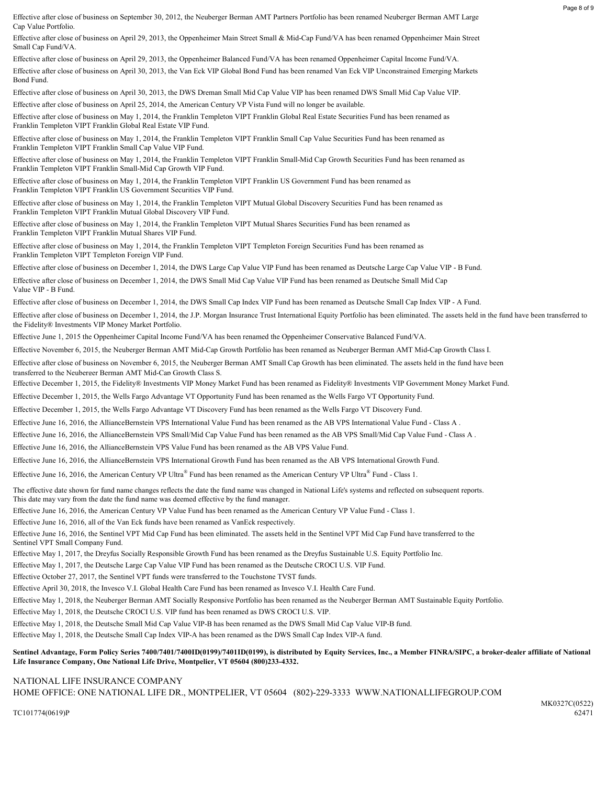Page 8 of 9

Cap Value Portfolio. Effective after close of business on September 30, 2012, the Neuberger Berman AMT Partners Portfolio has been renamed Neuberger Berman AMT Large

Small Cap Fund/VA. Effective after close of business on April 29, 2013, the Oppenheimer Main Street Small & Mid-Cap Fund/VA has been renamed Oppenheimer Main Street

Bond Fund. Effective after close of business on April 29, 2013, the Oppenheimer Balanced Fund/VA has been renamed Oppenheimer Capital Income Fund/VA. Effective after close of business on April 30, 2013, the Van Eck VIP Global Bond Fund has been renamed Van Eck VIP Unconstrained Emerging Markets

Effective after close of business on April 30, 2013, the DWS Dreman Small Mid Cap Value VIP has been renamed DWS Small Mid Cap Value VIP.

Effective after close of business on April 25, 2014, the American Century VP Vista Fund will no longer be available.

Franklin Templeton VIPT Franklin Global Real Estate VIP Fund. Effective after close of business on May 1, 2014, the Franklin Templeton VIPT Franklin Global Real Estate Securities Fund has been renamed as

Franklin Templeton VIPT Franklin Small Cap Value VIP Fund. Effective after close of business on May 1, 2014, the Franklin Templeton VIPT Franklin Small Cap Value Securities Fund has been renamed as

Franklin Templeton VIPT Franklin Small-Mid Cap Growth VIP Fund. Effective after close of business on May 1, 2014, the Franklin Templeton VIPT Franklin Small-Mid Cap Growth Securities Fund has been renamed as

Franklin Templeton VIPT Franklin US Government Securities VIP Fund. Effective after close of business on May 1, 2014, the Franklin Templeton VIPT Franklin US Government Fund has been renamed as

Franklin Templeton VIPT Franklin Mutual Global Discovery VIP Fund. Effective after close of business on May 1, 2014, the Franklin Templeton VIPT Mutual Global Discovery Securities Fund has been renamed as

Franklin Templeton VIPT Franklin Mutual Shares VIP Fund. Effective after close of business on May 1, 2014, the Franklin Templeton VIPT Mutual Shares Securities Fund has been renamed as

Franklin Templeton VIPT Templeton Foreign VIP Fund. Effective after close of business on May 1, 2014, the Franklin Templeton VIPT Templeton Foreign Securities Fund has been renamed as

Effective after close of business on December 1, 2014, the DWS Large Cap Value VIP Fund has been renamed as Deutsche Large Cap Value VIP - B Fund.

Effective after close of business on December 1, 2014, the DWS Small Mid Cap Value VIP Fund has been renamed as Deutsche Small Mid Cap Value VIP - B Fund.

Effective after close of business on December 1, 2014, the DWS Small Cap Index VIP Fund has been renamed as Deutsche Small Cap Index VIP - A Fund.

Effective after close of business on December 1, 2014, the J.P. Morgan Insurance Trust International Equity Portfolio has been eliminated. The assets held in the fund have been transferred to the Fidelity® Investments VIP Money Market Portfolio.

Effective June 1, 2015 the Oppenheimer Capital Income Fund/VA has been renamed the Oppenheimer Conservative Balanced Fund/VA.

Effective November 6, 2015, the Neuberger Berman AMT Mid-Cap Growth Portfolio has been renamed as Neuberger Berman AMT Mid-Cap Growth Class I.

Effective after close of business on November 6, 2015, the Neuberger Berman AMT Small Cap Growth has been eliminated. The assets held in the fund have been transferred to the Neuberger Berman AMT Mid-Cap Growth Class S.

Effective December 1, 2015, the Fidelity® Investments VIP Money Market Fund has been renamed as Fidelity® Investments VIP Government Money Market Fund.

Effective December 1, 2015, the Wells Fargo Advantage VT Opportunity Fund has been renamed as the Wells Fargo VT Opportunity Fund.

Effective December 1, 2015, the Wells Fargo Advantage VT Discovery Fund has been renamed as the Wells Fargo VT Discovery Fund.

Effective June 16, 2016, the AllianceBernstein VPS International Value Fund has been renamed as the AB VPS International Value Fund - Class A .

Effective June 16, 2016, the AllianceBernstein VPS Small/Mid Cap Value Fund has been renamed as the AB VPS Small/Mid Cap Value Fund - Class A .

Effective June 16, 2016, the AllianceBernstein VPS Value Fund has been renamed as the AB VPS Value Fund.

Effective June 16, 2016, the AllianceBernstein VPS International Growth Fund has been renamed as the AB VPS International Growth Fund.

Effective June 16, 2016, the American Century VP Ultra<sup>®</sup> Fund has been renamed as the American Century VP Ultra<sup>®</sup> Fund - Class 1.

The effective date shown for fund name changes reflects the date the fund name was changed in National Life's systems and reflected on subsequent reports. This date may vary from the date the fund name was deemed effective by the fund manager.

Effective June 16, 2016, the American Century VP Value Fund has been renamed as the American Century VP Value Fund - Class 1.

Effective June 16, 2016, all of the Van Eck funds have been renamed as VanEck respectively.

Effective June 16, 2016, the Sentinel VPT Mid Cap Fund has been eliminated. The assets held in the Sentinel VPT Mid Cap Fund have transferred to the Sentinel VPT Small Company Fund.

Effective May 1, 2017, the Dreyfus Socially Responsible Growth Fund has been renamed as the Dreyfus Sustainable U.S. Equity Portfolio Inc.

Effective May 1, 2017, the Deutsche Large Cap Value VIP Fund has been renamed as the Deutsche CROCI U.S. VIP Fund.

Effective October 27, 2017, the Sentinel VPT funds were transferred to the Touchstone TVST funds.

Effective April 30, 2018, the Invesco V.I. Global Health Care Fund has been renamed as Invesco V.I. Health Care Fund.

Effective May 1, 2018, the Neuberger Berman AMT Socially Responsive Portfolio has been renamed as the Neuberger Berman AMT Sustainable Equity Portfolio.

Effective May 1, 2018, the Deutsche CROCI U.S. VIP fund has been renamed as DWS CROCI U.S. VIP.

Effective May 1, 2018, the Deutsche Small Mid Cap Value VIP-B has been renamed as the DWS Small Mid Cap Value VIP-B fund.

Effective May 1, 2018, the Deutsche Small Cap Index VIP-A has been renamed as the DWS Small Cap Index VIP-A fund.

### Sentinel Advantage, Form Policy Series 7400/7401/7400ID(0199)/7401ID(0199), is distributed by Equity Services, Inc., a Member FINRA/SIPC, a broker-dealer affiliate of National Life Insurance Company, One National Life Drive, Montpelier, VT 05604 (800)233-4332.

### NATIONAL LIFE INSURANCE COMPANY

HOME OFFICE: ONE NATIONAL LIFE DR., MONTPELIER, VT 05604 (802)-229-3333 WWW.NATIONALLIFEGROUP.COM